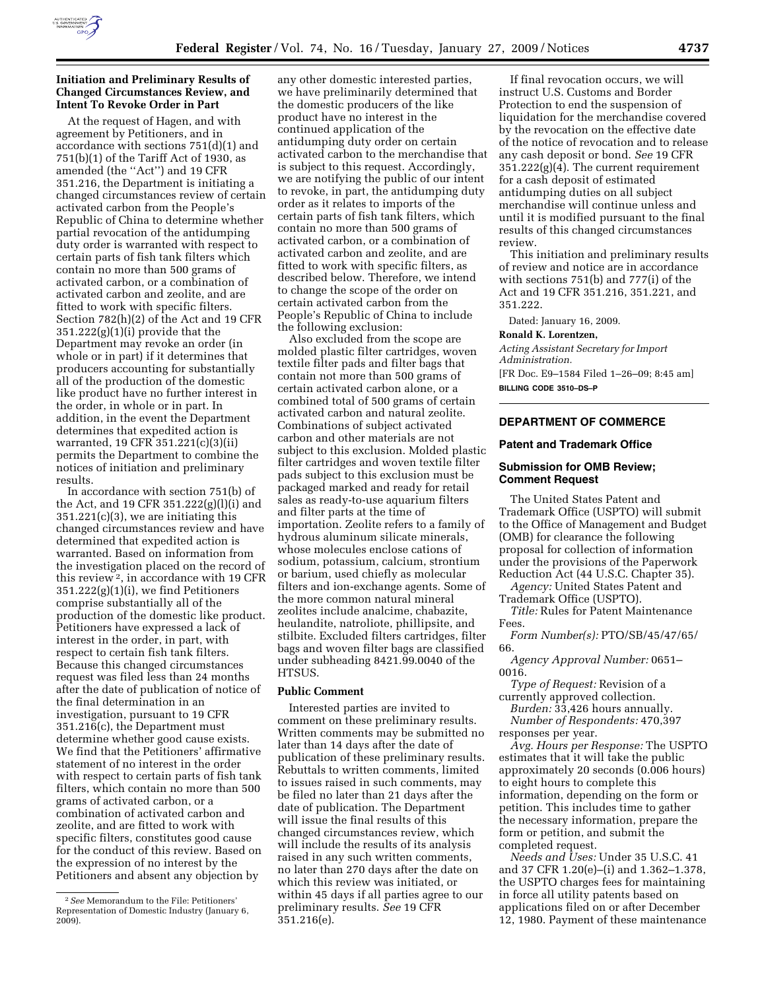

## **Initiation and Preliminary Results of Changed Circumstances Review, and Intent To Revoke Order in Part**

At the request of Hagen, and with agreement by Petitioners, and in accordance with sections 751(d)(1) and 751(b)(1) of the Tariff Act of 1930, as amended (the ''Act'') and 19 CFR 351.216, the Department is initiating a changed circumstances review of certain activated carbon from the People's Republic of China to determine whether partial revocation of the antidumping duty order is warranted with respect to certain parts of fish tank filters which contain no more than 500 grams of activated carbon, or a combination of activated carbon and zeolite, and are fitted to work with specific filters. Section 782(h)(2) of the Act and 19 CFR 351.222(g)(1)(i) provide that the Department may revoke an order (in whole or in part) if it determines that producers accounting for substantially all of the production of the domestic like product have no further interest in the order, in whole or in part. In addition, in the event the Department determines that expedited action is warranted, 19 CFR 351.221(c)(3)(ii) permits the Department to combine the notices of initiation and preliminary results.

In accordance with section 751(b) of the Act, and 19 CFR 351.222(g)(l)(i) and  $351.221(c)(3)$ , we are initiating this changed circumstances review and have determined that expedited action is warranted. Based on information from the investigation placed on the record of this review 2, in accordance with 19 CFR 351.222(g)(1)(i), we find Petitioners comprise substantially all of the production of the domestic like product. Petitioners have expressed a lack of interest in the order, in part, with respect to certain fish tank filters. Because this changed circumstances request was filed less than 24 months after the date of publication of notice of the final determination in an investigation, pursuant to 19 CFR 351.216(c), the Department must determine whether good cause exists. We find that the Petitioners' affirmative statement of no interest in the order with respect to certain parts of fish tank filters, which contain no more than 500 grams of activated carbon, or a combination of activated carbon and zeolite, and are fitted to work with specific filters, constitutes good cause for the conduct of this review. Based on the expression of no interest by the Petitioners and absent any objection by

any other domestic interested parties, we have preliminarily determined that the domestic producers of the like product have no interest in the continued application of the antidumping duty order on certain activated carbon to the merchandise that is subject to this request. Accordingly, we are notifying the public of our intent to revoke, in part, the antidumping duty order as it relates to imports of the certain parts of fish tank filters, which contain no more than 500 grams of activated carbon, or a combination of activated carbon and zeolite, and are fitted to work with specific filters, as described below. Therefore, we intend to change the scope of the order on certain activated carbon from the People's Republic of China to include the following exclusion:

Also excluded from the scope are molded plastic filter cartridges, woven textile filter pads and filter bags that contain not more than 500 grams of certain activated carbon alone, or a combined total of 500 grams of certain activated carbon and natural zeolite. Combinations of subject activated carbon and other materials are not subject to this exclusion. Molded plastic filter cartridges and woven textile filter pads subject to this exclusion must be packaged marked and ready for retail sales as ready-to-use aquarium filters and filter parts at the time of importation. Zeolite refers to a family of hydrous aluminum silicate minerals, whose molecules enclose cations of sodium, potassium, calcium, strontium or barium, used chiefly as molecular filters and ion-exchange agents. Some of the more common natural mineral zeolites include analcime, chabazite, heulandite, natroliote, phillipsite, and stilbite. Excluded filters cartridges, filter bags and woven filter bags are classified under subheading 8421.99.0040 of the HTSUS.

## **Public Comment**

Interested parties are invited to comment on these preliminary results. Written comments may be submitted no later than 14 days after the date of publication of these preliminary results. Rebuttals to written comments, limited to issues raised in such comments, may be filed no later than 21 days after the date of publication. The Department will issue the final results of this changed circumstances review, which will include the results of its analysis raised in any such written comments, no later than 270 days after the date on which this review was initiated, or within 45 days if all parties agree to our preliminary results. *See* 19 CFR 351.216(e).

If final revocation occurs, we will instruct U.S. Customs and Border Protection to end the suspension of liquidation for the merchandise covered by the revocation on the effective date of the notice of revocation and to release any cash deposit or bond. *See* 19 CFR 351.222(g)(4). The current requirement for a cash deposit of estimated antidumping duties on all subject merchandise will continue unless and until it is modified pursuant to the final results of this changed circumstances review.

This initiation and preliminary results of review and notice are in accordance with sections 751(b) and 777(i) of the Act and 19 CFR 351.216, 351.221, and 351.222.

Dated: January 16, 2009.

# **Ronald K. Lorentzen,**

*Acting Assistant Secretary for Import Administration.*  [FR Doc. E9–1584 Filed 1–26–09; 8:45 am] **BILLING CODE 3510–DS–P** 

## **DEPARTMENT OF COMMERCE**

#### **Patent and Trademark Office**

#### **Submission for OMB Review; Comment Request**

The United States Patent and Trademark Office (USPTO) will submit to the Office of Management and Budget (OMB) for clearance the following proposal for collection of information under the provisions of the Paperwork Reduction Act (44 U.S.C. Chapter 35).

*Agency:* United States Patent and Trademark Office (USPTO).

*Title:* Rules for Patent Maintenance Fees.

*Form Number(s):* PTO/SB/45/47/65/ 66.

*Agency Approval Number:* 0651– 0016.

*Type of Request:* Revision of a currently approved collection.

*Burden:* 33,426 hours annually. *Number of Respondents:* 470,397 responses per year.

*Avg. Hours per Response:* The USPTO estimates that it will take the public approximately 20 seconds (0.006 hours) to eight hours to complete this information, depending on the form or petition. This includes time to gather the necessary information, prepare the form or petition, and submit the completed request.

*Needs and Uses:* Under 35 U.S.C. 41 and 37 CFR 1.20(e)–(i) and 1.362–1.378, the USPTO charges fees for maintaining in force all utility patents based on applications filed on or after December 12, 1980. Payment of these maintenance

<sup>2</sup>*See* Memorandum to the File: Petitioners' Representation of Domestic Industry (January 6, 2009).